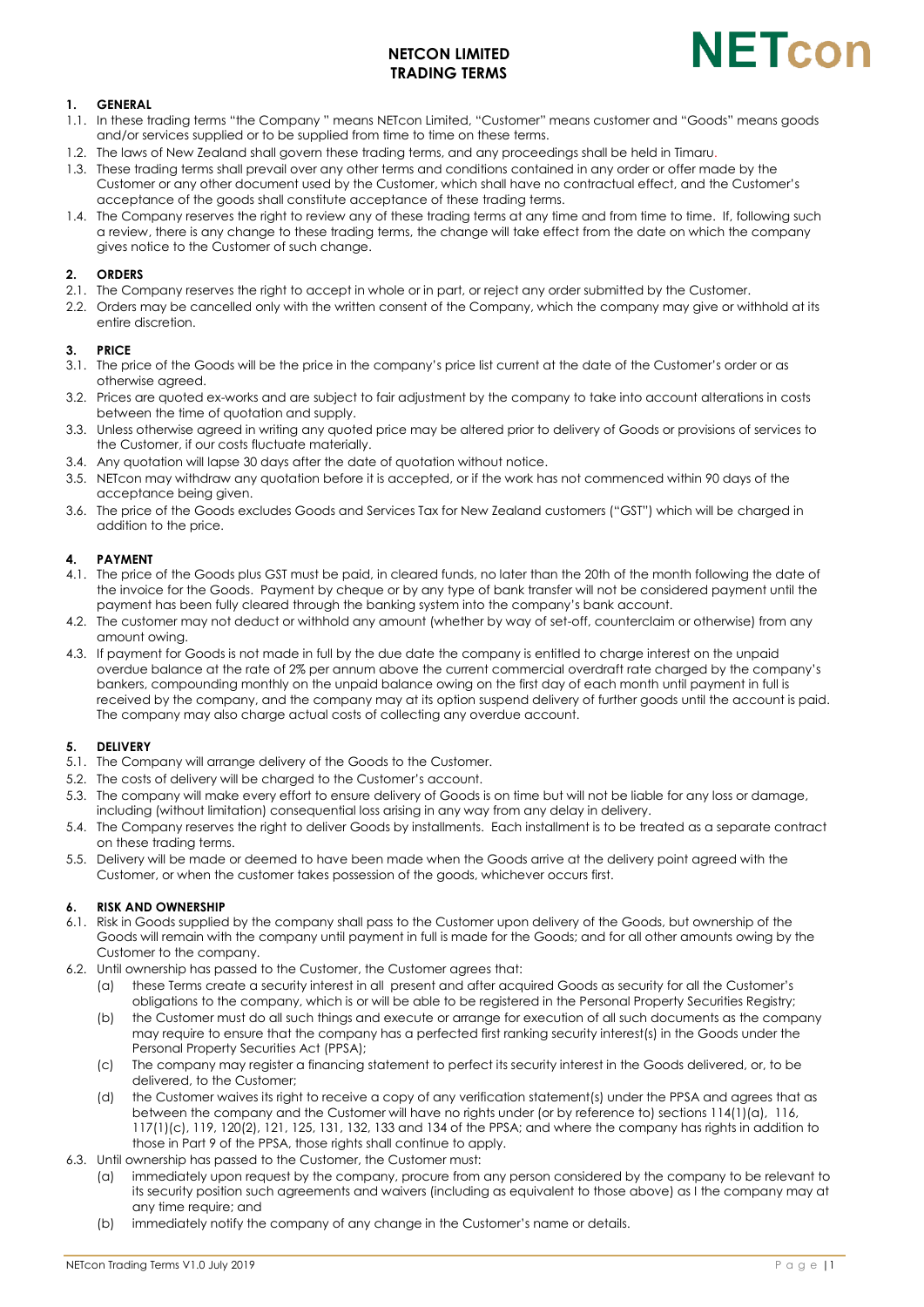# **NETCON LIMITED TRADING TERMS**



## **1. GENERAL**

- 1.1. In these trading terms "the Company " means NETcon Limited, "Customer" means customer and "Goods" means goods and/or services supplied or to be supplied from time to time on these terms.
- 1.2. The laws of New Zealand shall govern these trading terms, and any proceedings shall be held in Timaru.
- 1.3. These trading terms shall prevail over any other terms and conditions contained in any order or offer made by the Customer or any other document used by the Customer, which shall have no contractual effect, and the Customer's acceptance of the goods shall constitute acceptance of these trading terms.
- 1.4. The Company reserves the right to review any of these trading terms at any time and from time to time. If, following such a review, there is any change to these trading terms, the change will take effect from the date on which the company gives notice to the Customer of such change.

## **2. ORDERS**

- 2.1. The Company reserves the right to accept in whole or in part, or reject any order submitted by the Customer.
- 2.2. Orders may be cancelled only with the written consent of the Company, which the company may give or withhold at its entire discretion.

## **3. PRICE**

- 3.1. The price of the Goods will be the price in the company's price list current at the date of the Customer's order or as otherwise agreed.
- 3.2. Prices are quoted ex-works and are subject to fair adjustment by the company to take into account alterations in costs between the time of quotation and supply.
- 3.3. Unless otherwise agreed in writing any quoted price may be altered prior to delivery of Goods or provisions of services to the Customer, if our costs fluctuate materially.
- 3.4. Any quotation will lapse 30 days after the date of quotation without notice.
- 3.5. NETcon may withdraw any quotation before it is accepted, or if the work has not commenced within 90 days of the acceptance being given.
- 3.6. The price of the Goods excludes Goods and Services Tax for New Zealand customers ("GST") which will be charged in addition to the price.

## **4. PAYMENT**

- 4.1. The price of the Goods plus GST must be paid, in cleared funds, no later than the 20th of the month following the date of the invoice for the Goods. Payment by cheque or by any type of bank transfer will not be considered payment until the payment has been fully cleared through the banking system into the company's bank account.
- 4.2. The customer may not deduct or withhold any amount (whether by way of set-off, counterclaim or otherwise) from any amount owing.
- 4.3. If payment for Goods is not made in full by the due date the company is entitled to charge interest on the unpaid overdue balance at the rate of 2% per annum above the current commercial overdraft rate charged by the company's bankers, compounding monthly on the unpaid balance owing on the first day of each month until payment in full is received by the company, and the company may at its option suspend delivery of further goods until the account is paid. The company may also charge actual costs of collecting any overdue account.

## **5. DELIVERY**

- 5.1. The Company will arrange delivery of the Goods to the Customer.
- 5.2. The costs of delivery will be charged to the Customer's account.
- 5.3. The company will make every effort to ensure delivery of Goods is on time but will not be liable for any loss or damage, including (without limitation) consequential loss arising in any way from any delay in delivery.
- 5.4. The Company reserves the right to deliver Goods by installments. Each installment is to be treated as a separate contract on these trading terms.
- 5.5. Delivery will be made or deemed to have been made when the Goods arrive at the delivery point agreed with the Customer, or when the customer takes possession of the goods, whichever occurs first.

## **6. RISK AND OWNERSHIP**

- 6.1. Risk in Goods supplied by the company shall pass to the Customer upon delivery of the Goods, but ownership of the Goods will remain with the company until payment in full is made for the Goods; and for all other amounts owing by the Customer to the company.
- 6.2. Until ownership has passed to the Customer, the Customer agrees that:
	- (a) these Terms create a security interest in all present and after acquired Goods as security for all the Customer's obligations to the company, which is or will be able to be registered in the Personal Property Securities Registry;
	- (b) the Customer must do all such things and execute or arrange for execution of all such documents as the company may require to ensure that the company has a perfected first ranking security interest(s) in the Goods under the Personal Property Securities Act (PPSA);
	- (c) The company may register a financing statement to perfect its security interest in the Goods delivered, or, to be delivered, to the Customer;
	- (d) the Customer waives its right to receive a copy of any verification statement(s) under the PPSA and agrees that as between the company and the Customer will have no rights under (or by reference to) sections 114(1)(a), 116, 117(1)(c), 119, 120(2), 121, 125, 131, 132, 133 and 134 of the PPSA; and where the company has rights in addition to those in Part 9 of the PPSA, those rights shall continue to apply.
- 6.3. Until ownership has passed to the Customer, the Customer must:
	- (a) immediately upon request by the company, procure from any person considered by the company to be relevant to its security position such agreements and waivers (including as equivalent to those above) as I the company may at any time require; and
	- (b) immediately notify the company of any change in the Customer's name or details.